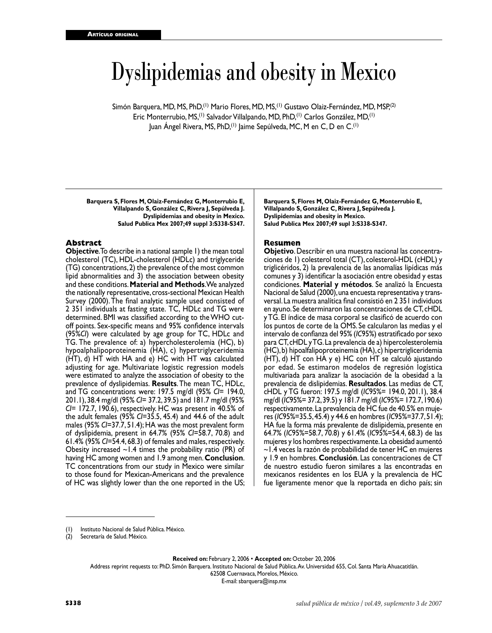# Dyslipidemias and obesity in Mexico

Simón Barquera, MD, MS, PhD,<sup>(1)</sup> Mario Flores, MD, MS,<sup>(1)</sup> Gustavo Olaiz-Fernández, MD, MSP,<sup>(2)</sup> Eric Monterrubio, MS,<sup>(1)</sup> Salvador Villalpando, MD, PhD,<sup>(1)</sup> Carlos González, MD,<sup>(1)</sup> Juan Ángel Rivera, MS, PhD,<sup>(1)</sup> Jaime Sepúlveda, MC, M en C, D en C.<sup>(1)</sup>

**Barquera S, Flores M, Olaiz-Fernández G, Monterrubio E, Villalpando S, González C, Rivera J, Sepúlveda J. Dyslipidemias and obesity in Mexico. Salud Publica Mex 2007;49 suppl 3:S338-S347.**

### **Abstract**

**Objective**. To describe in a national sample 1) the mean total cholesterol (TC), HDL-cholesterol (HDLc) and triglyceride (TG) concentrations, 2) the prevalence of the most common lipid abnormalities and 3) the association between obesity and these conditions. **Material and Methods**. We analyzed the nationally representative, cross-sectional Mexican Health Survey (2000). The final analytic sample used consisted of 2 351 individuals at fasting state. TC, HDLc and TG were determined. BMI was classified according to the WHO cutoff points. Sex-specific means and 95% confidence intervals (95%*CI*) were calculated by age group for TC, HDLc and TG. The prevalence of: a) hypercholesterolemia (HC), b) hypoalphalipoproteinemia (HA), c) hypertriglyceridemia (HT), d) HT with HA and e) HC with HT was calculated adjusting for age. Multivariate logistic regression models were estimated to analyze the association of obesity to the prevalence of dyslipidemias. **Results**. The mean TC, HDLc, and TG concentrations were: 197.5 mg/dl (95% *CI*= 194.0, 201.1), 38.4 mg/dl (95% *CI*= 37.2, 39.5) and 181.7 mg/dl (95% *CI*= 172.7, 190.6), respectively. HC was present in 40.5% of the adult females (95% *CI*=35.5, 45.4) and 44.6 of the adult males (95% *CI*=37.7, 51.4); HA was the most prevalent form of dyslipidemia, present in 64.7% (95% *CI*=58.7, 70.8) and 61.4% (95% *CI*=54.4, 68.3) of females and males, respectively. Obesity increased  $\sim$  1.4 times the probability ratio (PR) of having HC among women and 1.9 among men. **Conclusion**. TC concentrations from our study in Mexico were similar to those found for Mexican-Americans and the prevalence of HC was slightly lower than the one reported in the US;

**Barquera S, Flores M, Olaiz-Fernández G, Monterrubio E, Villalpando S, González C, Rivera J, Sepúlveda J. Dyslipidemias and obesity in Mexico. Salud Publica Mex 2007;49 supl 3:S338-S347.**

### **Resumen**

**Objetivo**. Describir en una muestra nacional las concentraciones de 1) colesterol total (CT), colesterol-HDL (cHDL) y triglicéridos, 2) la prevalencia de las anomalías lipídicas más comunes y 3) identificar la asociación entre obesidad y estas condiciones. **Material y métodos**. Se analizó la Encuesta Nacional de Salud (2000), una encuesta representativa y transversal. La muestra analítica final consistió en 2 351 individuos en ayuno. Se determinaron las concentraciones de CT, cHDL y TG. El índice de masa corporal se clasificó de acuerdo con los puntos de corte de la OMS. Se calcularon las medias y el intervalo de confianza del 95% (*IC*95%) estratificado por sexo para CT, cHDL y TG. La prevalencia de a) hipercolesterolemia (HC), b) hipoalfalipoproteinemia (HA), c) hipertrigliceridemia (HT), d) HT con HA y e) HC con HT se calculó ajustando por edad. Se estimaron modelos de regresión logística multivariada para analizar la asociación de la obesidad a la prevalencia de dislipidemias. **Resultados**. Las medias de CT, cHDL y TG fueron: 197.5 mg/dl (*IC*95%= 194.0, 201.1), 38.4 mg/dl (*IC*95%= 37.2, 39.5) y 181.7 mg/dl (*IC*95%= 172.7, 190.6) respectivamente. La prevalencia de HC fue de 40.5% en mujeres (*IC*95%=35.5, 45.4) y 44.6 en hombres (*IC*95%=37.7, 51.4); HA fue la forma más prevalente de dislipidemia, presente en 64.7% (*IC*95%=58.7, 70.8) y 61.4% (*IC*95%=54.4, 68.3) de las mujeres y los hombres respectivamente. La obesidad aumentó ~1.4 veces la razón de probabilidad de tener HC en mujeres y 1.9 en hombres. **Conclusión**. Las concentraciones de CT de nuestro estudio fueron similares a las encontradas en mexicanos residentes en los EUA y la prevalencia de HC fue ligeramente menor que la reportada en dicho país; sin

**Received on:** February 2, 2006 • **Accepted on:** October 20, 2006

Address reprint requests to: PhD. Simón Barquera. Instituto Nacional de Salud Pública. Av. Universidad 655, Col. Santa María Ahuacatitlán.

62508 Cuernavaca, Morelos, México. E-mail: sbarquera@insp.mx

<sup>(1)</sup> Instituto Nacional de Salud Pública. México.

<sup>(2)</sup> Secretaría de Salud. México.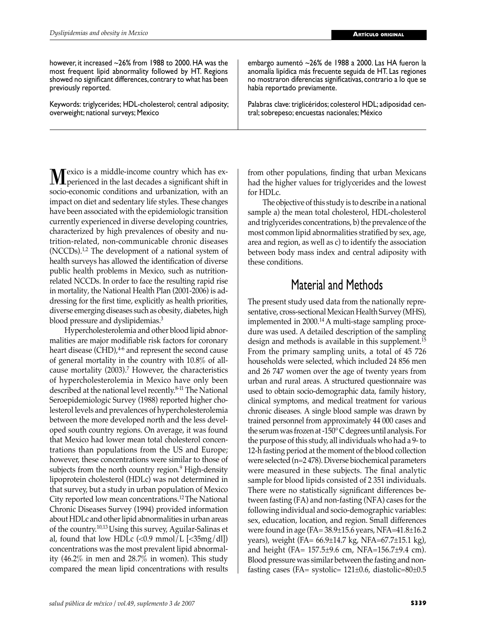however, it increased ~26% from 1988 to 2000. HA was the most frequent lipid abnormality followed by HT. Regions showed no significant differences, contrary to what has been previously reported.

Keywords: triglycerides; HDL-cholesterol; central adiposity; overweight; national surveys; Mexico

Mexico is a middle-income country which has ex-perienced in the last decades a significant shift in socio-economic conditions and urbanization, with an impact on diet and sedentary life styles. These changes have been associated with the epidemiologic transition currently experienced in diverse developing countries, characterized by high prevalences of obesity and nutrition-related, non-communicable chronic diseases  $(NCCDs).<sup>1,2</sup>$  The development of a national system of health surveys has allowed the identification of diverse public health problems in Mexico, such as nutritionrelated NCCDs. In order to face the resulting rapid rise in mortality, the National Health Plan (2001-2006) is addressing for the first time, explicitly as health priorities, diverse emerging diseases such as obesity, diabetes, high blood pressure and dyslipidemias.<sup>3</sup>

 Hypercholesterolemia and other blood lipid abnormalities are major modifiable risk factors for coronary heart disease  $(CHD)$ ,  $4-6$  and represent the second cause of general mortality in the country with 10.8% of allcause mortality (2003).7 However, the characteristics of hypercholesterolemia in Mexico have only been described at the national level recently.8-11 The National Seroepidemiologic Survey (1988) reported higher cholesterol levels and prevalences of hypercholesterolemia between the more developed north and the less developed south country regions. On average, it was found that Mexico had lower mean total cholesterol concentrations than populations from the US and Europe; however, these concentrations were similar to those of subjects from the north country region.<sup>9</sup> High-density lipoprotein cholesterol (HDLc) was not determined in that survey, but a study in urban population of Mexico City reported low mean concentrations.12 The National Chronic Diseases Survey (1994) provided information about HDLc and other lipid abnormalities in urban areas of the country.10,13 Using this survey, Aguilar-Salinas et al, found that low HDLc  $\langle$  <0.9 mmol/L  $\langle$  <35mg/dl]) concentrations was the most prevalent lipid abnormality (46.2% in men and 28.7% in women). This study compared the mean lipid concentrations with results

Palabras clave: triglicéridos; colesterol HDL; adiposidad central; sobrepeso; encuestas nacionales; México

embargo aumentó ~26% de 1988 a 2000. Las HA fueron la anomalía lipídica más frecuente seguida de HT. Las regiones no mostraron diferencias significativas, contrario a lo que se

había reportado previamente.

from other populations, finding that urban Mexicans had the higher values for triglycerides and the lowest for HDLc.

 The objective of this study is to describe in a national sample a) the mean total cholesterol, HDL-cholesterol and triglycerides concentrations, b) the prevalence of the most common lipid abnormalities stratified by sex, age, area and region, as well as c) to identify the association between body mass index and central adiposity with these conditions.

## Material and Methods

The present study used data from the nationally representative, cross-sectional Mexican Health Survey (MHS), implemented in 2000.14 A multi-stage sampling procedure was used. A detailed description of the sampling design and methods is available in this supplement.15 From the primary sampling units, a total of 45 726 households were selected, which included 24 856 men and 26 747 women over the age of twenty years from urban and rural areas. A structured questionnaire was used to obtain socio-demographic data, family history, clinical symptoms, and medical treatment for various chronic diseases. A single blood sample was drawn by trained personnel from approximately 44 000 cases and the serum was frozen at -150° C degrees until analysis. For the purpose of this study, all individuals who had a 9- to 12-h fasting period at the moment of the blood collection were selected (n=2 478). Diverse biochemical parameters were measured in these subjects. The final analytic sample for blood lipids consisted of 2 351 individuals. There were no statistically significant differences between fasting (FA) and non-fasting (NFA) cases for the following individual and socio-demographic variables: sex, education, location, and region. Small differences were found in age (FA= 38.9±15.6 years, NFA=41.8±16.2 years), weight (FA= 66.9±14.7 kg, NFA=67.7±15.1 kg), and height (FA= 157.5±9.6 cm, NFA=156.7±9.4 cm). Blood pressure was similar between the fasting and nonfasting cases (FA= systolic=  $121\pm0.6$ , diastolic=80 $\pm0.5$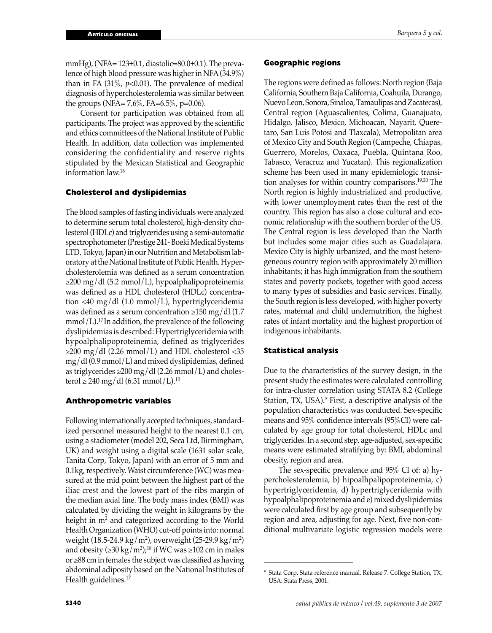mmHg), (NFA=  $123\pm0.1$ , diastolic= $80.0\pm0.1$ ). The prevalence of high blood pressure was higher in NFA (34.9%) than in FA  $(31\% , p<0.01)$ . The prevalence of medical diagnosis of hypercholesterolemia was similar between the groups (NFA=  $7.6\%$ , FA= $6.5\%$ , p=0.06).

 Consent for participation was obtained from all participants. The project was approved by the scientific and ethics committees of the National Institute of Public Health. In addition, data collection was implemented considering the confidentiality and reserve rights stipulated by the Mexican Statistical and Geographic information law.<sup>16</sup>

### **Cholesterol and dyslipidemias**

The blood samples of fasting individuals were analyzed to determine serum total cholesterol, high-density cholesterol (HDLc) and triglycerides using a semi-automatic spectrophotometer (Prestige 241- Boeki Medical Systems LTD, Tokyo, Japan) in our Nutrition and Metabolism laboratory at the National Institute of Public Health. Hypercholesterolemia was defined as a serum concentration ≥200 mg/dl (5.2 mmol/L), hypoalphalipoproteinemia was defined as a HDL cholesterol (HDLc) concentration <40 mg/dl (1.0 mmol/L), hypertriglyceridemia was defined as a serum concentration  $\geq$ 150 mg/dl (1.7)  $mmol/L$ .<sup>17</sup> In addition, the prevalence of the following dyslipidemias is described: Hypertriglyceridemia with hypoalphalipoproteinemia, defined as triglycerides  $\geq$ 200 mg/dl (2.26 mmol/L) and HDL cholesterol <35 mg/dl (0.9 mmol/L) and mixed dyslipidemias, defined as triglycerides  $\geq 200$  mg/dl (2.26 mmol/L) and cholesterol ≥ 240 mg/dl (6.31 mmol/L).<sup>10</sup>

### **Anthropometric variables**

Following internationally accepted techniques, standardized personnel measured height to the nearest 0.1 cm, using a stadiometer (model 202, Seca Ltd, Birmingham, UK) and weight using a digital scale (1631 solar scale, Tanita Corp, Tokyo, Japan) with an error of 5 mm and 0.1kg, respectively. Waist circumference (WC) was measured at the mid point between the highest part of the iliac crest and the lowest part of the ribs margin of the median axial line. The body mass index (BMI) was calculated by dividing the weight in kilograms by the height in  $m<sup>2</sup>$  and categorized according to the World Health Organization (WHO) cut-off points into: normal weight (18.5-24.9 kg/m²), overweight (25-29.9 kg/m²) and obesity (≥30 kg/m<sup>2</sup>);<sup>18</sup> if WC was ≥102 cm in males or ≥88 cm in females the subject was classified as having abdominal adiposity based on the National Institutes of Health guidelines.<sup>17</sup>

### **Geographic regions**

The regions were defined as follows: North region (Baja California, Southern Baja California, Coahuila, Durango, Nuevo Leon, Sonora, Sinaloa, Tamaulipas and Zacatecas), Central region (Aguascalientes, Colima, Guanajuato, Hidalgo, Jalisco, Mexico, Michoacan, Nayarit, Queretaro, San Luis Potosi and Tlaxcala), Metropolitan area of Mexico City and South Region (Campeche, Chiapas, Guerrero, Morelos, Oaxaca, Puebla, Quintana Roo, Tabasco, Veracruz and Yucatan). This regionalization scheme has been used in many epidemiologic transition analyses for within country comparisons.19,20 The North region is highly industrialized and productive, with lower unemployment rates than the rest of the country. This region has also a close cultural and economic relationship with the southern border of the US. The Central region is less developed than the North but includes some major cities such as Guadalajara. Mexico City is highly urbanized, and the most heterogeneous country region with approximately 20 million inhabitants; it has high immigration from the southern states and poverty pockets, together with good access to many types of subsidies and basic services. Finally, the South region is less developed, with higher poverty rates, maternal and child undernutrition, the highest rates of infant mortality and the highest proportion of indigenous inhabitants.

### **Statistical analysis**

Due to the characteristics of the survey design, in the present study the estimates were calculated controlling for intra-cluster correlation using STATA 8.2 (College Station, TX, USA).\* First, a descriptive analysis of the population characteristics was conducted. Sex-specific means and 95% confidence intervals (95%CI) were calculated by age group for total cholesterol, HDLc and triglycerides. In a second step, age-adjusted, sex-specific means were estimated stratifying by: BMI, abdominal obesity, region and area.

 The sex-specific prevalence and 95% CI of: a) hypercholesterolemia, b) hipoalhpalipoproteinemia, c) hypertriglyceridemia, d) hypertriglyceridemia with hypoalphalipoproteinemia and e) mixed dyslipidemias were calculated first by age group and subsequently by region and area, adjusting for age. Next, five non-conditional multivariate logistic regression models were

Stata Corp. Stata reference manual. Release 7. College Station, TX, USA: Stata Press, 2001.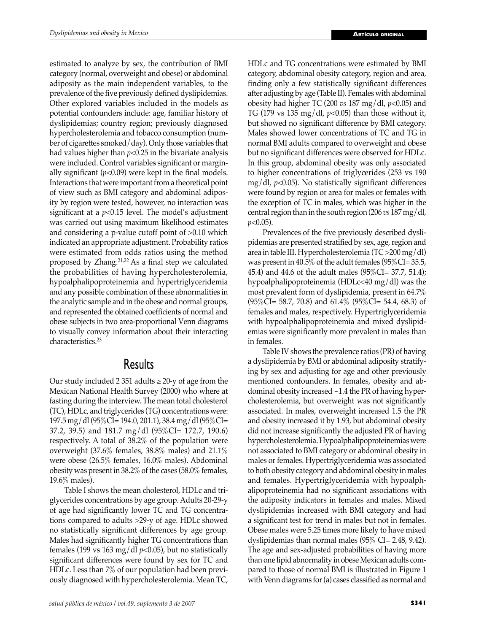estimated to analyze by sex, the contribution of BMI category (normal, overweight and obese) or abdominal adiposity as the main independent variables, to the prevalence of the five previously defined dyslipidemias. Other explored variables included in the models as potential confounders include: age, familiar history of dyslipidemias; country region; previously diagnosed hypercholesterolemia and tobacco consumption (number of cigarettes smoked/day). Only those variables that had values higher than *p*<0.25 in the bivariate analysis were included. Control variables significant or marginally significant  $(p<0.09)$  were kept in the final models. Interactions that were important from a theoretical point of view such as BMI category and abdominal adiposity by region were tested, however, no interaction was significant at a *p*<0.15 level. The model's adjustment was carried out using maximum likelihood estimates and considering a p-value cutoff point of >0.10 which indicated an appropriate adjustment. Probability ratios were estimated from odds ratios using the method proposed by Zhang.21,22 As a final step we calculated the probabilities of having hypercholesterolemia, hypoalphalipoproteinemia and hypertriglyceridemia and any possible combination of these abnormalities in the analytic sample and in the obese and normal groups, and represented the obtained coefficients of normal and obese subjects in two area-proportional Venn diagrams to visually convey information about their interacting characteristics.23

### **Results**

Our study included 2 351 adults  $\geq$  20-y of age from the Mexican National Health Survey (2000) who where at fasting during the interview. The mean total cholesterol (TC), HDLc, and triglycerides (TG) concentrations were: 197.5 mg/dl (95%CI= 194.0, 201.1), 38.4 mg/dl (95%CI= 37.2, 39.5) and 181.7 mg/dl (95%CI= 172.7, 190.6) respectively. A total of 38.2% of the population were overweight (37.6% females, 38.8% males) and 21.1% were obese (26.5% females, 16.0% males). Abdominal obesity was present in 38.2% of the cases (58.0% females, 19.6% males).

 Table I shows the mean cholesterol, HDLc and triglycerides concentrations by age group. Adults 20-29-y of age had significantly lower TC and TG concentrations compared to adults >29-y of age. HDLc showed no statistically significant differences by age group. Males had significantly higher TG concentrations than females (199 vs 163 mg/dl  $p<0.05$ ), but no statistically significant differences were found by sex for TC and HDLc. Less than 7% of our population had been previously diagnosed with hypercholesterolemia. Mean TC,

HDLc and TG concentrations were estimated by BMI category, abdominal obesity category, region and area, finding only a few statistically significant differences after adjusting by age (Table II). Females with abdominal obesity had higher TC (200 *vs* 187 mg/dl, *p*<0.05) and TG (179 vs 135 mg/dl, *p*<0.05) than those without it, but showed no significant difference by BMI category. Males showed lower concentrations of TC and TG in normal BMI adults compared to overweight and obese but no significant differences were observed for HDLc. In this group, abdominal obesity was only associated to higher concentrations of triglycerides (253 vs 190 mg/dl, *p*<0.05). No statistically significant differences were found by region or area for males or females with the exception of TC in males, which was higher in the central region than in the south region (206 *vs* 187 mg/dl, *p*<0.05).

 Prevalences of the five previously described dyslipidemias are presented stratified by sex, age, region and area in table III. Hypercholesterolemia (TC >200 mg/dl) was present in 40.5% of the adult females (95%CI= 35.5, 45.4) and 44.6 of the adult males (95%CI= 37.7, 51.4); hypoalphalipoproteinemia (HDLc<40 mg/dl) was the most prevalent form of dyslipidemia, present in 64.7% (95%CI= 58.7, 70.8) and 61.4% (95%CI= 54.4, 68.3) of females and males, respectively. Hypertriglyceridemia with hypoalphalipoproteinemia and mixed dyslipidemias were significantly more prevalent in males than in females.

 Table IV shows the prevalence ratios (PR) of having a dyslipidemia by BMI or abdominal adiposity stratifying by sex and adjusting for age and other previously mentioned confounders. In females, obesity and abdominal obesity increased ~1.4 the PR of having hypercholesterolemia, but overweight was not significantly associated. In males, overweight increased 1.5 the PR and obesity increased it by 1.93, but abdominal obesity did not increase significantly the adjusted PR of having hypercholesterolemia. Hypoalphalipoproteinemias were not associated to BMI category or abdominal obesity in males or females. Hypertriglyceridemia was associated to both obesity category and abdominal obesity in males and females. Hypertriglyceridemia with hypoalphalipoproteinemia had no significant associations with the adiposity indicators in females and males. Mixed dyslipidemias increased with BMI category and had a significant test for trend in males but not in females. Obese males were 5.25 times more likely to have mixed dyslipidemias than normal males (95% CI= 2.48, 9.42). The age and sex-adjusted probabilities of having more than one lipid abnormality in obese Mexican adults compared to those of normal BMI is illustrated in Figure 1 with Venn diagrams for (a) cases classified as normal and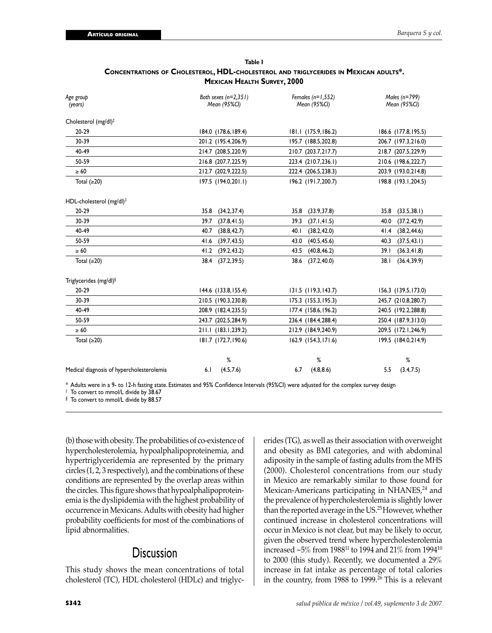| Table I                                                                                     |
|---------------------------------------------------------------------------------------------|
| <b>CONCENTRATIONS OF CHOLESTEROL, HDL-CHOLESTEROL AND TRIGLYCERIDES IN MEXICAN ADULTS*.</b> |
| <b>MEXICAN HEALTH SURVEY, 2000</b>                                                          |

| Age group<br>(years)                      | Both sexes $(n=2,351)$<br>Mean (95%CI) | Females $(n=1,552)$<br>Mean (95%CI) | Males (n=799)<br>Mean (95%CI) |
|-------------------------------------------|----------------------------------------|-------------------------------------|-------------------------------|
| Cholesterol (mg/dl) <sup>‡</sup>          |                                        |                                     |                               |
| 20-29                                     | 184.0 (178.6, 189.4)                   | 181.1 (175.9, 186.2)                | 186.6 (177.8, 195.5)          |
| 30-39                                     | 201.2 (195.4,206.9)                    | 195.7 (188.5,202.8)                 | 206.7 (197.3,216.0)           |
| 40-49                                     | 214.7 (208.5,220.9)                    | 210.7 (203.7,217.7)                 | 218.7 (207.5,229.9)           |
| 50-59                                     | 216.8 (207.7,225.9)                    | 223.4 (210.7,236.1)                 | 210.6 (198.6,222.7)           |
| $\geq 60$                                 | 212.7 (202.9,222.5)                    | 222.4 (206.5,238.3)                 | 203.9 (193.0,214.8)           |
| Total $(≥20)$                             | 197.5 (194.0,201.1)                    | 196.2 (191.7,200.7)                 | 198.8 (193.1,204.5)           |
| HDL-cholesterol (mg/dl) <sup>‡</sup>      |                                        |                                     |                               |
| 20-29                                     | 35.8<br>(34.2, 37.4)                   | 35.8<br>(33.9, 37.8)                | 35.8<br>(33.5, 38.1)          |
| 30-39                                     | 39.7<br>(37.8, 41.5)                   | 39.3<br>(37.1, 41.5)                | 40.0<br>(37.2, 42.9)          |
| 40-49                                     | 40.7<br>(38.8, 42.7)                   | 40.1<br>(38.2, 42.0)                | (38.2, 44.6)<br>41.4          |
| 50-59                                     | 41.6<br>(39.7, 43.5)                   | 43.0<br>(40.5, 45.6)                | (37.5, 43.1)<br>40.3          |
| $\geq 60$                                 | 41.2<br>(39.2, 43.2)                   | 43.5<br>(40.8, 46.2)                | (36.3, 41.8)<br>39.1          |
| Total $(≥20)$                             | 38.4<br>(37.2, 39.5)                   | (37.2, 40.0)<br>38.6                | (36.4, 39.9)<br>38.1          |
| Triglycerides (mg/dl)§                    |                                        |                                     |                               |
| 20-29                                     | 144.6 (133.8, 155.4)                   | 131.5 (119.3, 143.7)                | 156.3 (139.5, 173.0)          |
| 30-39                                     | 210.5 (190.3,230.8)                    | 175.3 (155.3, 195.3)                | 245.7 (210.8,280.7)           |
| 40-49                                     | 208.9 (182.4,235.5)                    | 177.4 (158.6, 196.2)                | 240.5 (192.2,288.8)           |
| 50-59                                     | 243.7 (202.5,284.9)                    | 236.4 (184.4,288.4)                 | 250.4 (187.9,313.0)           |
| $\geq 60$                                 | 211.1 (183.1,239.2)                    | 212.9 (184.9,240.9)                 | 209.5 (172.1,246.9)           |
| Total $(≥20)$                             | 181.7 (172.7,190.6)                    | 162.9 (154.3, 171.6)                | 199.5 (184.0,214.9)           |
|                                           | %                                      | %                                   | %                             |
| Medical diagnosis of hypercholesterolemia | (4.5, 7.6)<br>6.1                      | (4.8, 8.6)<br>6.7                   | (3.4, 7.5)<br>5.5             |

\* Adults were in a 9- to 12-h fasting state. Estimates and 95% Confidence Intervals (95%CI) were adjusted for the complex survey design

*‡* To convert to mmol/L divide by 38.67

*§* To convert to mmol/L divide by 88.57

(b) those with obesity. The probabilities of co-existence of hypercholesterolemia, hypoalphalipoproteinemia, and hypertriglyceridemia are represented by the primary circles (1, 2, 3 respectively), and the combinations of these conditions are represented by the overlap areas within the circles. This figure shows that hypoalphalipoproteinemia is the dyslipidemia with the highest probability of occurrence in Mexicans. Adults with obesity had higher probability coefficients for most of the combinations of lipid abnormalities.

### **Discussion**

This study shows the mean concentrations of total cholesterol (TC), HDL cholesterol (HDLc) and triglyc-

erides (TG), as well as their association with overweight and obesity as BMI categories, and with abdominal adiposity in the sample of fasting adults from the MHS (2000). Cholesterol concentrations from our study in Mexico are remarkably similar to those found for Mexican-Americans participating in NHANES,<sup>24</sup> and the prevalence of hypercholesterolemia is slightly lower than the reported average in the US.<sup>25</sup> However, whether continued increase in cholesterol concentrations will occur in Mexico is not clear, but may be likely to occur, given the observed trend where hypercholesterolemia increased ~5% from 198811 to 1994 and 21% from 199410 to 2000 (this study). Recently, we documented a 29% increase in fat intake as percentage of total calories in the country, from 1988 to 1999. $26$  This is a relevant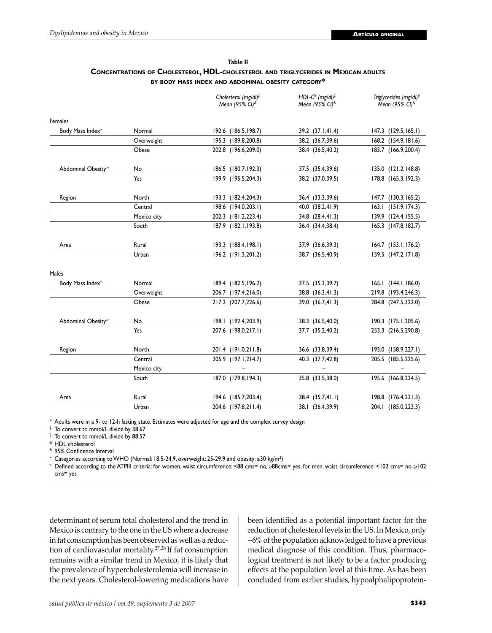| Table II                                                                                  |
|-------------------------------------------------------------------------------------------|
| <b>CONCENTRATIONS OF CHOLESTEROL, HDL-CHOLESTEROL AND TRIGLYCERIDES IN MEXICAN ADULTS</b> |
| BY BODY MASS INDEX AND ABDOMINAL OBESITY CATEGORY*                                        |

|                                |             | Cholesterol (mg/dl)#<br>Mean (95% CI)& | HDL-C <sup>#</sup> (mg/dl) <sup>#</sup><br>Mean (95% CI)& | Triglycerides (mg/dl) <sup>§</sup><br>Mean (95% CI) <sup>&amp;</sup> |
|--------------------------------|-------------|----------------------------------------|-----------------------------------------------------------|----------------------------------------------------------------------|
| Females                        |             |                                        |                                                           |                                                                      |
| Body Mass Index <sup>*</sup>   | Normal      | 192.6 (186.5, 198.7)                   | 39.2 (37.1,41.4)                                          | 147.3 (129.5, 165.1)                                                 |
|                                | Overweight  | 195.3 (189.8,200.8)                    | 38.2 (36.7,39.6)                                          | 168.2 (154.9, 181.6)                                                 |
|                                | Obese       | 202.8 (196.6,209.0)                    | 38.4 (36.5,40.2)                                          | 183.7 (166.9,200.4)                                                  |
| Abdominal Obesity <sup>®</sup> | No          | 186.5 (180.7, 192.3)                   | 37.5 (35.4,39.6)                                          | 135.0 (121.2, 148.8)                                                 |
|                                | Yes         | 199.9 (195.5,204.3)                    | 38.2 (37.0,39.5)                                          | 178.8 (165.3, 192.3)                                                 |
| Region                         | North       | 193.3 (182.4,204.3)                    | 36.4 (33.3,39.6)                                          | 147.7 (130.3, 165.2)                                                 |
|                                | Central     | 198.6 (194.0,203.1)                    | 40.0 (38.2,41.9)                                          | 163.1 (151.9,174.3)                                                  |
|                                | Mexico city | 202.3 (181.2,223.4)                    | 34.8 (28.4,41.3)                                          | 139.9 (124.4, 155.5)                                                 |
|                                | South       | 187.9 (182.1, 193.8)                   | 36.4 (34.4,38.4)                                          | 165.3 (147.8, 182.7)                                                 |
| Area                           | Rural       | 193.3 (188.4, 198.1)                   | 37.9 (36.6, 39.3)                                         | 164.7 (153.1, 176.2)                                                 |
|                                | Urban       | 196.2 (191.3,201.2)                    | 38.7 (36.5,40.9)                                          | 159.5 (147.2, 171.8)                                                 |
| Males                          |             |                                        |                                                           |                                                                      |
| Body Mass Index <sup>#</sup>   | Normal      | 189.4 (182.5, 196.2)                   | 37.5 (35.3,39.7)                                          | 165.1 (144.1,186.0)                                                  |
|                                | Overweight  | 206.7 (197.4,216.0)                    | 38.8 (36.3,41.3)                                          | 219.8 (193.4,246.3)                                                  |
|                                | Obese       | 217.2 (207.7,226.6)                    | 39.0 (36.7,41.3)                                          | 284.8 (247.5,322.0)                                                  |
| Abdominal Obesity <sup>®</sup> | No          | 198.1 (192.4,203.9)                    | 38.3 (36.5,40.0)                                          | 190.3 (175.1,205.6)                                                  |
|                                | Yes         | 207.6 (198.0,217.1)                    | 37.7 (35.2,40.2)                                          | 253.3 (216.5,290.8)                                                  |
| Region                         | North       | 201.4 (191.0,211.8)                    | 36.6 (33.8,39.4)                                          | 193.0 (158.9,227.1)                                                  |
|                                | Central     | 205.9 (197.1,214.7)                    | 40.3 (37.7,42.8)                                          | 205.5 (185.5,225.6)                                                  |
|                                | Mexico city |                                        |                                                           |                                                                      |
|                                | South       | 187.0 (179.8, 194.3)                   | 35.8 (33.5,38.0)                                          | 195.6 (166.8,224.5)                                                  |
| Area                           | Rural       | 194.6 (185.7,203.4)                    | 38.4 (35.7,41.1)                                          | 198.8 (176.4,221.3)                                                  |
|                                | Urban       | 204.6 (197.8,211.4)                    | 38.1 (36.4,39.9)                                          | 204.1 (185.0,223.3)                                                  |

\* Adults were in a 9- to 12-h fasting state. Estimates were adjusted for age and the complex survey design

‡ To convert to mmol/L divide by 38.67

§ To convert to mmol/L divide by 88.57

# HDL cholesterol

& 95% Confidence Interval

 $^{\neq}$  Categories according to WHO (Normal: 18.5-24.9, overweight: 25-29.9 and obesity: ≥30 kg/m<sup>2</sup>)

<sup>∞</sup> Defined according to the ATPIII criteria: for women, waist circumference: <88 cms= no, ≥88cms= yes, for men, waist circumference: <102 cms= no, ≥102 cms= yes

determinant of serum total cholesterol and the trend in Mexico is contrary to the one in the US where a decrease in fat consumption has been observed as well as a reduction of cardiovascular mortality.27,28 If fat consumption remains with a similar trend in Mexico, it is likely that the prevalence of hypercholesterolemia will increase in the next years. Cholesterol-lowering medications have

been identified as a potential important factor for the reduction of cholesterol levels in the US. In Mexico, only  $~16\%$  of the population acknowledged to have a previous medical diagnose of this condition. Thus, pharmacological treatment is not likely to be a factor producing effects at the population level at this time. As has been concluded from earlier studies, hypoalphalipoprotein-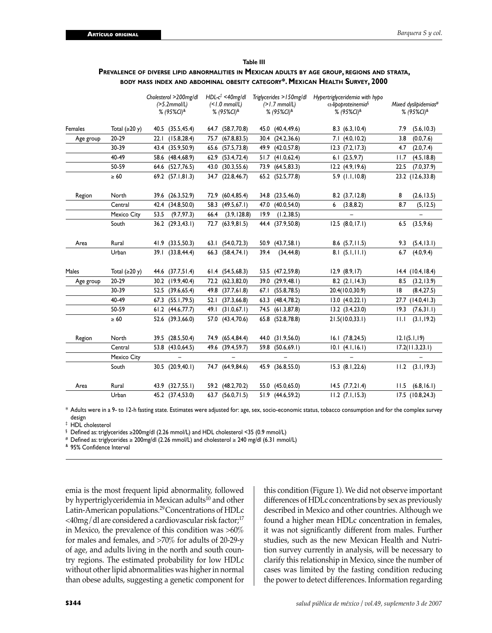#### **Table III**

### **PREVALENCE OF DIVERSE LIPID ABNORMALITIES IN MEXICAN ADULTS BY AGE GROUP, REGIONS AND STRATA, BODY MASS INDEX AND ABDOMINAL OBESITY CATEGORY\*. MEXICAN HEALTH SURVEY, 2000**

|           |                     | Cholesterol >200mg/dl<br>$(>5.2$ mmol/L)<br>% $(95\%$ CI) <sup>&amp;</sup> | $HDL-c$ <sup><math>\ddagger</math></sup> <40mg/dl<br>(<br>% (95%CI) <sup>&amp;</sup> | Triglycerides >150mg/dl<br>$(>1.7$ mmol/L)<br>% (95%CI) <sup>&amp;</sup> | Hypertriglyceridemia with hypo<br>α-lipoproteinemia <sup>§</sup><br>% (95%CI) <sup>&amp;</sup> | Mixed dyslipidemias#<br>% (95%CI) <sup>&amp;</sup> |  |  |
|-----------|---------------------|----------------------------------------------------------------------------|--------------------------------------------------------------------------------------|--------------------------------------------------------------------------|------------------------------------------------------------------------------------------------|----------------------------------------------------|--|--|
| Females   | Total $(\geq 20 y)$ | 40.5 (35.5,45.4)                                                           | 64.7 (58.7,70.8)                                                                     | 45.0 (40.4,49.6)                                                         | 8.3(6.3, 10.4)                                                                                 | (5.6, 10.3)<br>7.9                                 |  |  |
| Age group | 20-29               | (15.8, 28.4)<br>22.1                                                       | (67.8, 83.5)<br>75.7                                                                 | 30.4 (24.2,36.6)                                                         | 7.1(4.0, 10.2)                                                                                 | 3.8<br>(0.0, 7.6)                                  |  |  |
|           | 30-39               | 43.4 (35.9,50.9)                                                           | 65.6 (57.5,73.8)                                                                     | (42.0, 57.8)<br>49.9                                                     | $12.3$ $(7.2, 17.3)$                                                                           | 4.7<br>(2.0, 7.4)                                  |  |  |
|           | 40-49               | 58.6 (48.4,68.9)                                                           | 62.9 (53.4,72.4)                                                                     | 51.7<br>(41.0, 62.4)                                                     | 6.1(2.5, 9.7)                                                                                  | 11.7<br>(4.5, 18.8)                                |  |  |
|           | 50-59               | (52.7, 76.5)<br>64.6                                                       | 43.0 (30.3,55.6)                                                                     | 73.9 (64.5,83.3)                                                         | $12.2$ $(4.9, 19.6)$                                                                           | 22.5<br>(7.0, 37.9)                                |  |  |
|           | $\geq 60$           | 69.2 (57.1,81.3)                                                           | 34.7 (22.8,46.7)                                                                     | 65.2 (52.5,77.8)                                                         | $5.9$ (1.1,10.8)                                                                               | 23.2 (12.6,33.8)                                   |  |  |
| Region    | North               | 39.6 (26.3,52.9)                                                           | (60.4, 85.4)<br>72.9                                                                 | 34.8 (23.5,46.0)                                                         | $8.2$ $(3.7, 12.8)$                                                                            | 8<br>(2.6, 13.5)                                   |  |  |
|           | Central             | (34.8, 50.0)<br>42.4                                                       | (49.5, 67.1)<br>58.3                                                                 | 47.0<br>(40.0, 54.0)                                                     | (3.8, 8.2)<br>6                                                                                | 8.7<br>(5, 12.5)                                   |  |  |
|           | Mexico City         | 53.5<br>(9.7, 97.3)                                                        | (3.9, 128.8)<br>66.4                                                                 | 19.9<br>(1.2, 38.5)                                                      |                                                                                                | $\overline{\phantom{0}}$                           |  |  |
|           | South               | $36.2$ $(29.3, 43.1)$                                                      | 72.7 (63.9,81.5)                                                                     | 44.4 (37.9,50.8)                                                         | $12.5$ $(8.0, 17.1)$                                                                           | (3.5, 9.6)<br>6.5                                  |  |  |
| Area      | Rural               | 41.9 (33.5,50.3)                                                           | 63.1 (54.0,72.3)                                                                     | 50.9 (43.7,58.1)                                                         | $8.6$ $(5.7, 11.5)$                                                                            | (5.4, 13.1)<br>9.3                                 |  |  |
|           | Urban               | 39.1 (33.8,44.4)                                                           | 66.3 (58.4,74.1)                                                                     | 39.4<br>(34, 44.8)                                                       | 8.1(5.1, 11.1)                                                                                 | (4.0, 9.4)<br>6.7                                  |  |  |
| Males     | Total $(\geq 20 y)$ | 44.6 (37.7,51.4)                                                           | 61.4 (54.5,68.3)                                                                     | 53.5 (47.2,59.8)                                                         | $12.9$ $(8.9, 17)$                                                                             | $14.4$ (10.4, 18.4)                                |  |  |
| Age group | 20-29               | 30.2 (19.9,40.4)                                                           | 72.2 (62.3,82.0)                                                                     | 39.0 (29.9,48.1)                                                         | $8.2$ $(2.1, 14.3)$                                                                            | (3.2, 13.9)<br>8.5                                 |  |  |
|           | 30-39               | 52.5 (39.6,65.4)                                                           | 49.8 (37.7,61.8)                                                                     | (55.8, 78.5)<br>67.I                                                     | 20.4(10.0,30.9)                                                                                | 18<br>(8.4, 27.5)                                  |  |  |
|           | 40-49               | (55.1, 79.5)<br>67.3                                                       | (37.3, 66.8)<br>52.1                                                                 | 63.3<br>(48.4, 78.2)                                                     | 13.0 (4.0, 22.1)                                                                               | (14.0, 41.3)<br>27.7                               |  |  |
|           | 50-59               | 61.2 (44.6,77.7)                                                           | 49.1 (31.0,67.1)                                                                     | 74.5 (61.3,87.8)                                                         | $13.2$ $(3.4, 23.0)$                                                                           | (7.6, 31.1)<br>19.3                                |  |  |
|           | $\geq 60$           | 52.6 (39.3,66.0)                                                           | 57.0 (43.4,70.6)                                                                     | 65.8 (52.8,78.8)                                                         | 21.5(10.033.1)                                                                                 | (3.1, 19.2)<br>11.1                                |  |  |
| Region    | North               | (28.5, 50.4)<br>39.5                                                       | 74.9 (65.4,84.4)                                                                     | 44.0 (31.9,56.0)                                                         | $16.1$ $(7.8, 24.5)$                                                                           | 12.1(5.1, 19)                                      |  |  |
|           | Central             | (43.0, 64.5)<br>53.8                                                       | 49.6 (39.4,59.7)                                                                     | 59.8 (50.6,69.1)                                                         | 10.1 (4.1, 16.1)                                                                               | 17.2(11.3,23.1)                                    |  |  |
|           | Mexico City         |                                                                            |                                                                                      |                                                                          |                                                                                                |                                                    |  |  |
|           | South               | 30.5 (20.9,40.1)                                                           | 74.7 (64.9,84.6)                                                                     | 45.9 (36.8,55.0)                                                         | $15.3$ $(8.1, 22.6)$                                                                           | $11.2$ $(3.1, 19.3)$                               |  |  |
| Area      | Rural               | 43.9 (32.7,55.1)                                                           | 59.2 (48.2,70.2)                                                                     | 55.0 (45.0,65.0)                                                         | $14.5$ $(7.7, 21.4)$                                                                           | (6.8, 16.1)<br>11.5                                |  |  |
|           | Urban               | 45.2 (37.4,53.0)                                                           | 63.7 (56.0,71.5)                                                                     | 51.9 (44.6.59.2)                                                         | $11.2$ $(7.1, 15.3)$                                                                           | 17.5 (10.8.24.3)                                   |  |  |

\* Adults were in a 9- to 12-h fasting state. Estimates were adjusted for: age, sex, socio-economic status, tobacco consumption and for the complex survey design

‡ HDL cholesterol

§ Defined as: triglycerides ≥200mg/dl (2.26 mmol/L) and HDL cholesterol <35 (0.9 mmol/L)

# Defined as: triglycerides ≥ 200mg/dl (2.26 mmol/L) and cholesterol ≥ 240 mg/dl (6.31 mmol/L)

& 95% Confidence Interval

emia is the most frequent lipid abnormality, followed by hypertriglyceridemia in Mexican adults<sup>10</sup> and other Latin-American populations.29 Concentrations of HDLc  $\langle 40mg/d$ l are considered a cardiovascular risk factor;<sup>17</sup> in Mexico, the prevalence of this condition was >60% for males and females, and >70% for adults of 20-29-y of age, and adults living in the north and south country regions. The estimated probability for low HDLc without other lipid abnormalities was higher in normal than obese adults, suggesting a genetic component for

this condition (Figure 1). We did not observe important differences of HDLc concentrations by sex as previously described in Mexico and other countries. Although we found a higher mean HDLc concentration in females, it was not significantly different from males. Further studies, such as the new Mexican Health and Nutrition survey currently in analysis, will be necessary to clarify this relationship in Mexico, since the number of cases was limited by the fasting condition reducing the power to detect differences. Information regarding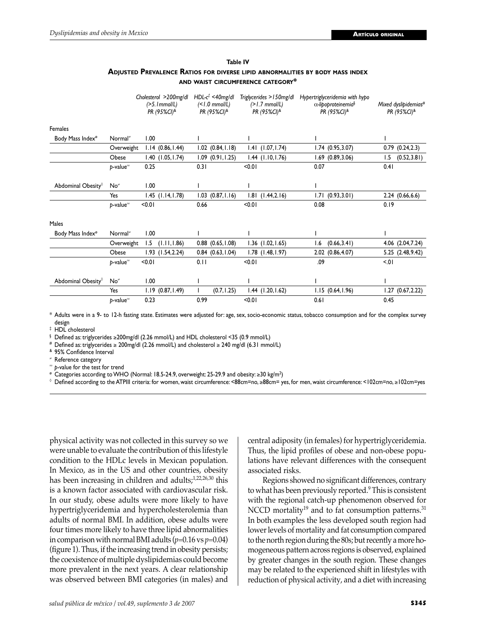#### **Table IV**

### **ADJUSTED PREVALENCE RATIOS FOR DIVERSE LIPID ABNORMALITIES BY BODY MASS INDEX AND WAIST CIRCUMFERENCE CATEGORY\***

|                              |                        |        | Cholesterol >200mg/dl<br>$(>5.1$ mmol/L)<br>PR (95%CI) <sup>&amp;</sup> |      | $HDL-c$ <sup>†</sup> <40mg/dl<br>$($ < $1.0$ mmol/L)<br>PR (95%CI) <sup>&amp;</sup> | Triglycerides > 150mg/dl<br>$(>1.7$ mmol/L)<br>PR (95%CI) <sup>&amp;</sup> |      | Hypertriglyceridemia with hypo<br>$\alpha$ -lipoproteinemia <sup>§</sup><br>PR (95%CI) <sup>&amp;</sup> |      | Mixed dyslipidemias#<br>PR (95%CI) <sup>&amp;</sup> |
|------------------------------|------------------------|--------|-------------------------------------------------------------------------|------|-------------------------------------------------------------------------------------|----------------------------------------------------------------------------|------|---------------------------------------------------------------------------------------------------------|------|-----------------------------------------------------|
| Females                      |                        |        |                                                                         |      |                                                                                     |                                                                            |      |                                                                                                         |      |                                                     |
| Body Mass Index <sup>®</sup> | Normal <sup>#</sup>    | 1.00   |                                                                         |      |                                                                                     |                                                                            |      |                                                                                                         |      |                                                     |
|                              | Overweight             |        | $1.14$ $(0.86, 1.44)$                                                   |      | $1.02$ $(0.84, 1.18)$                                                               | $1.41$ $(1.07, 1.74)$                                                      |      | $1.74$ $(0.95, 3.07)$                                                                                   |      | $0.79$ $(0.24, 2.3)$                                |
|                              | Obese                  |        | $1.40$ $(1.05, 1.74)$                                                   |      | $1.09$ $(0.91, 1.25)$                                                               | $1.44$ $(1.10, 1.76)$                                                      |      | $1.69$ $(0.89, 3.06)$                                                                                   | 1.5  | (0.52, 3.81)                                        |
|                              | $p$ -value $^{\infty}$ | 0.25   |                                                                         | 0.31 |                                                                                     | < 0.01                                                                     | 0.07 |                                                                                                         | 0.41 |                                                     |
| Abdominal Obesity®           | No≠                    | 1.00   |                                                                         |      |                                                                                     |                                                                            |      |                                                                                                         |      |                                                     |
|                              | Yes                    |        | $1.45$ $(1.14, 1.78)$                                                   |      | $1.03$ $(0.87, 1.16)$                                                               | $1.81$ $(1.44, 2.16)$                                                      |      | 1.71(0.93, 3.01)                                                                                        |      | 2.24(0.66, 6.6)                                     |
|                              | $b$ -value $^{\infty}$ | < 0.01 |                                                                         | 0.66 |                                                                                     | < 0.01                                                                     | 0.08 |                                                                                                         | 0.19 |                                                     |
| Males                        |                        |        |                                                                         |      |                                                                                     |                                                                            |      |                                                                                                         |      |                                                     |
| Body Mass Index <sup>®</sup> | Normal <sup>≠</sup>    | 1.00   |                                                                         |      |                                                                                     |                                                                            |      |                                                                                                         |      |                                                     |
|                              | Overweight             | 1.5    | (1.11, 1.86)                                                            |      | $0.88$ $(0.65, 1.08)$                                                               | $1.36$ $(1.02, 1.65)$                                                      | I.6  | (0.66, 3.41)                                                                                            |      | 4.06 (2.04,7.24)                                    |
|                              | Obese                  |        | $1.93$ $(1.54, 2.24)$                                                   |      | $0.84$ $(0.63, 1.04)$                                                               | $1.78$ $(1.48, 1.97)$                                                      |      | 2.02 (0.86,4.07)                                                                                        |      | 5.25 (2.48, 9.42)                                   |
|                              | $b$ -value $^{\infty}$ | < 0.01 |                                                                         | 0.11 |                                                                                     | < 0.01                                                                     | .09  |                                                                                                         | 5.01 |                                                     |
| Abdominal Obesity®           | No≠                    | 1.00   |                                                                         |      |                                                                                     |                                                                            |      |                                                                                                         |      |                                                     |
|                              | Yes                    | 1.19   | (0.87, 1.49)                                                            |      | (0.7, 1.25)                                                                         | $1.44$ $(1.20, 1.62)$                                                      |      | 1.15(0.64, 1.96)                                                                                        | 1.27 | (0.67, 2.22)                                        |
|                              | $b$ -value $^{\infty}$ | 0.23   |                                                                         | 0.99 |                                                                                     | < 0.01                                                                     | 0.61 |                                                                                                         | 0.45 |                                                     |

\* Adults were in a 9- to 12-h fasting state. Estimates were adjusted for: age, sex, socio-economic status, tobacco consumption and for the complex survey design

‡ HDL cholesterol

§ Defined as: triglycerides ≥200mg/dl (2.26 mmol/L) and HDL cholesterol <35 (0.9 mmol/L)

# Defined as: triglycerides ≥ 200mg/dl (2.26 mmol/L) and cholesterol ≥ 240 mg/dl (6.31 mmol/L)

& 95% Confidence Interval

<sup>≠</sup> Reference category

p-value for the test for trend

 $^{\circ}$  Categories according to WHO (Normal: 18.5-24.9, overweight: 25-29.9 and obesity: ≥30 kg/m<sup>2</sup>)

◊ Defined according to the ATPIII criteria: for women, waist circumference: <88cm=no, ≥88cm= yes, for men, waist circumference: <102cm=no, ≥102cm=yes

physical activity was not collected in this survey so we were unable to evaluate the contribution of this lifestyle condition to the HDLc levels in Mexican population. In Mexico, as in the US and other countries, obesity has been increasing in children and adults;<sup>1,22,26,30</sup> this is a known factor associated with cardiovascular risk. In our study, obese adults were more likely to have hypertriglyceridemia and hypercholesterolemia than adults of normal BMI. In addition, obese adults were four times more likely to have three lipid abnormalities in comparison with normal BMI adults  $(p=0.16 \text{ vs } p=0.04)$ (figure 1). Thus, if the increasing trend in obesity persists; the coexistence of multiple dyslipidemias could become more prevalent in the next years. A clear relationship was observed between BMI categories (in males) and

central adiposity (in females) for hypertriglyceridemia. Thus, the lipid profiles of obese and non-obese populations have relevant differences with the consequent associated risks.

 Regions showed no significant differences, contrary to what has been previously reported.9 This is consistent with the regional catch-up phenomenon observed for NCCD mortality<sup>19</sup> and to fat consumption patterns.<sup>31</sup> In both examples the less developed south region had lower levels of mortality and fat consumption compared to the north region during the 80s; but recently a more homogeneous pattern across regions is observed, explained by greater changes in the south region. These changes may be related to the experienced shift in lifestyles with reduction of physical activity, and a diet with increasing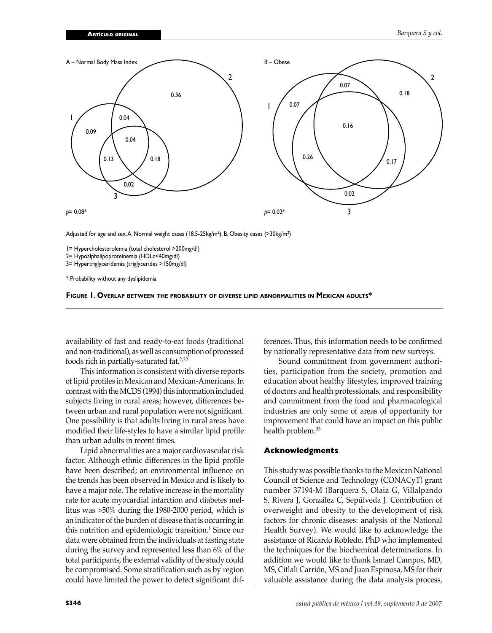

Adjusted for age and sex. A. Normal weight cases (18.5-25kg/m<sup>2</sup>), B. Obesity cases (>30kg/m<sup>2</sup>)

1= Hypercholesterolemia (total cholesterol >200mg/dl)

2= Hypoalphalipoproteinemia (HDLc<40mg/dl)

3= Hypertriglyceridemia (triglycerides >150mg/dl)

\* Probability without any dyslipidemia



availability of fast and ready-to-eat foods (traditional and non-traditional), as well as consumption of processed foods rich in partially-saturated fat.2,32

 This information is consistent with diverse reports of lipid profiles in Mexican and Mexican-Americans. In contrast with the MCDS (1994) this information included subjects living in rural areas; however, differences between urban and rural population were not significant. One possibility is that adults living in rural areas have modified their life-styles to have a similar lipid profile than urban adults in recent times.

 Lipid abnormalities are a major cardiovascular risk factor. Although ethnic differences in the lipid profile have been described; an environmental influence on the trends has been observed in Mexico and is likely to have a major role. The relative increase in the mortality rate for acute myocardial infarction and diabetes mellitus was >50% during the 1980-2000 period, which is an indicator of the burden of disease that is occurring in this nutrition and epidemiologic transition.<sup>1</sup> Since our data were obtained from the individuals at fasting state during the survey and represented less than 6% of the total participants, the external validity of the study could be compromised. Some stratification such as by region could have limited the power to detect significant dif-

ferences. Thus, this information needs to be confirmed by nationally representative data from new surveys.

 Sound commitment from government authorities, participation from the society, promotion and education about healthy lifestyles, improved training of doctors and health professionals, and responsibility and commitment from the food and pharmacological industries are only some of areas of opportunity for improvement that could have an impact on this public health problem.<sup>33</sup>

### **Acknowledgments**

This study was possible thanks to the Mexican National Council of Science and Technology (CONACyT) grant number 37194-M (Barquera S, Olaiz G, Villalpando S, Rivera J, González C, Sepúlveda J. Contribution of overweight and obesity to the development of risk factors for chronic diseases: analysis of the National Health Survey). We would like to acknowledge the assistance of Ricardo Robledo, PhD who implemented the techniques for the biochemical determinations. In addition we would like to thank Ismael Campos, MD, MS, Citlali Carrión, MS and Juan Espinosa, MS for their valuable assistance during the data analysis process,